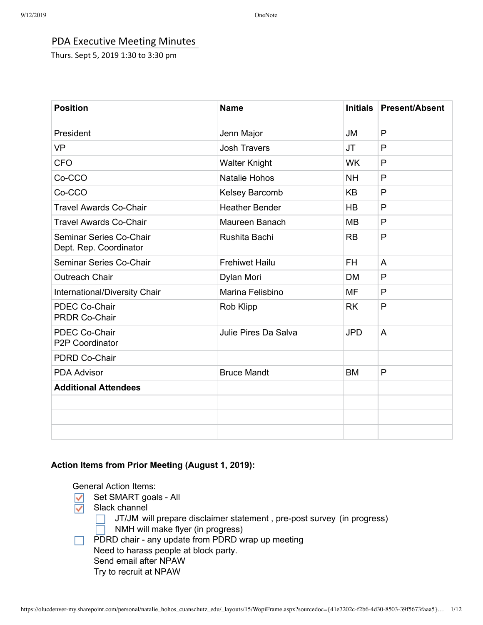# PDA Executive Meeting Minutes

Thurs. Sept 5, 2019 1:30 to 3:30 pm

| <b>Position</b>                                   | <b>Name</b>           | <b>Initials</b> | <b>Present/Absent</b> |
|---------------------------------------------------|-----------------------|-----------------|-----------------------|
| President                                         | Jenn Major            | JM              | $\mathsf{P}$          |
| <b>VP</b>                                         | <b>Josh Travers</b>   | <b>JT</b>       | P                     |
| <b>CFO</b>                                        | <b>Walter Knight</b>  | <b>WK</b>       | $\mathsf{P}$          |
| Co-CCO                                            | <b>Natalie Hohos</b>  | <b>NH</b>       | P                     |
| Co-CCO                                            | Kelsey Barcomb        | <b>KB</b>       | P                     |
| <b>Travel Awards Co-Chair</b>                     | <b>Heather Bender</b> | <b>HB</b>       | P                     |
| <b>Travel Awards Co-Chair</b>                     | Maureen Banach        | <b>MB</b>       | P                     |
| Seminar Series Co-Chair<br>Dept. Rep. Coordinator | Rushita Bachi         | <b>RB</b>       | P                     |
| Seminar Series Co-Chair                           | <b>Frehiwet Hailu</b> | <b>FH</b>       | A                     |
| <b>Outreach Chair</b>                             | Dylan Mori            | DM              | P                     |
| International/Diversity Chair                     | Marina Felisbino      | <b>MF</b>       | P                     |
| <b>PDEC Co-Chair</b><br><b>PRDR Co-Chair</b>      | Rob Klipp             | <b>RK</b>       | P                     |
| PDEC Co-Chair<br>P2P Coordinator                  | Julie Pires Da Salva  | <b>JPD</b>      | A                     |
| PDRD Co-Chair                                     |                       |                 |                       |
| <b>PDA Advisor</b>                                | <b>Bruce Mandt</b>    | <b>BM</b>       | P                     |
| <b>Additional Attendees</b>                       |                       |                 |                       |
|                                                   |                       |                 |                       |
|                                                   |                       |                 |                       |
|                                                   |                       |                 |                       |

## **Action Items from Prior Meeting (August 1, 2019):**

General Action Items:

- Set SMART goals All ✓
- Slack channel  $\checkmark$ 
	- JT/JM will prepare disclaimer statement , pre-post survey (in progress)
	- NMH will make flyer (in progress)  $\Box$
	- PDRD chair any update from PDRD wrap up meeting
	- Need to harass people at block party.
		- Send email after NPAW
		- Try to recruit at NPAW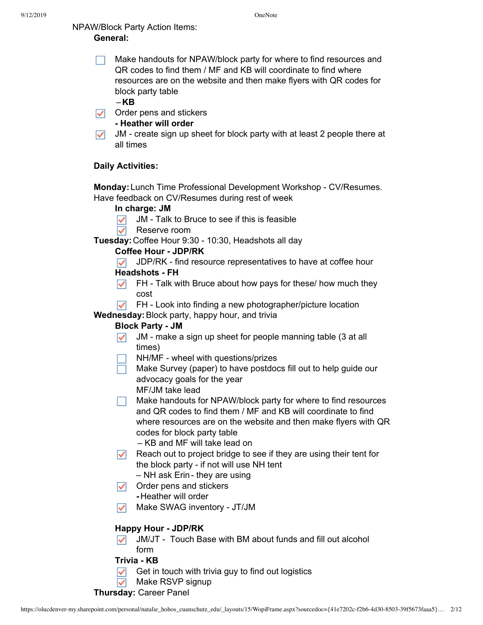# NPAW/Block Party Action Items: **General:**

Make handouts for NPAW/block party for where to find resources and QR codes to find them / MF and KB will coordinate to find where resources are on the website and then make flyers with QR codes for block party table

–**KB**

 $\triangledown$  Order pens and stickers

## **- Heather will order**

 $\sqrt{\phantom{a}}$  JM - create sign up sheet for block party with at least 2 people there at all times

## **Daily Activities:**

**Monday:**Lunch Time Professional Development Workshop - CV/Resumes. Have feedback on CV/Resumes during rest of week

## **In charge: JM**

- $\triangleright$  JM Talk to Bruce to see if this is feasible
- $\nabla$  Reserve room

**Tuesday:**Coffee Hour 9:30 - 10:30, Headshots all day

## **Coffee Hour - JDP/RK**

 $\triangledown$  JDP/RK - find resource representatives to have at coffee hour

## **Headshots - FH**

- $\blacktriangleright$  FH Talk with Bruce about how pays for these/ how much they cost
- $\triangledown$  FH Look into finding a new photographer/picture location

**Wednesday:**Block party, happy hour, and trivia

## **Block Party - JM**

- $\sqrt{\phantom{a}}$  JM make a sign up sheet for people manning table (3 at all times)
- NH/MF wheel with questions/prizes
- $\Box$  Make Survey (paper) to have postdocs fill out to help guide our advocacy goals for the year
	- MF/JM take lead
- $\Box$  Make handouts for NPAW/block party for where to find resources and QR codes to find them / MF and KB will coordinate to find where resources are on the website and then make flyers with QR codes for block party table
	- KB and MF will take lead on
- $\sqrt{\phantom{a}}$  Reach out to project bridge to see if they are using their tent for the block party - if not will use NH tent
	- NH ask Erin they are using
- $\triangledown$  Order pens and stickers **-**Heather will order
- Make SWAG inventory JT/JM

## **Happy Hour - JDP/RK**

 $\sqrt{\phantom{a}}$  JM/JT - Touch Base with BM about funds and fill out alcohol form

## **Trivia - KB**

- $\sqrt{\phantom{a}}$  Get in touch with trivia guy to find out logistics
- Make RSVP signup  $\overline{\checkmark}$

**Thursday:** Career Panel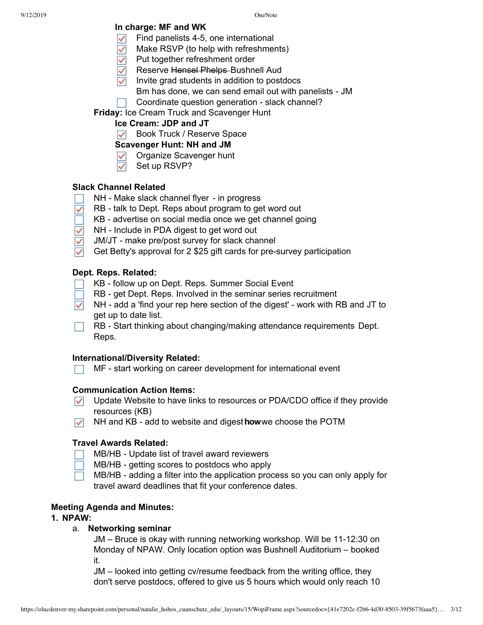## **In charge: MF and WK**

- Find panelists 4-5, one international
- Make RSVP (to help with refreshments)
- Put together refreshment order
- Reserve Hensel Phelps-Bushnell Aud
- Invite grad students in addition to postdocs
	- Bm has done, we can send email out with panelists JM
- Coordinate question generation slack channel?

**Friday:** Ice Cream Truck and Scavenger Hunt

# **Ice Cream: JDP and JT**

**D** Book Truck / Reserve Space

## **Scavenger Hunt: NH and JM**

- **V** Organize Scavenger hunt
- Set up RSVP?  $\checkmark$

## **Slack Channel Related**

- NH Make slack channel flyer in progress
- RB talk to Dept. Reps about program to get word out  $\checkmark$
- KB advertise on social media once we get channel going
- NH Include in PDA digest to get word out
- JM/JT make pre/post survey for slack channel
- Get Betty's approval for 2 \$25 gift cards for pre-survey participation

## **Dept. Reps. Related:**

- KB follow up on Dept. Reps. Summer Social Event
- RB get Dept. Reps. Involved in the seminar series recruitment
- $\nabla$  NH add a 'find your rep here section of the digest' work with RB and JT to get up to date list.

RB - Start thinking about changing/making attendance requirements Dept. Reps.

## **International/Diversity Related:**

MF - start working on career development for international event

## **Communication Action Items:**

- $\nabla$  Update Website to have links to resources or PDA/CDO office if they provide resources (KB)
- NH and KB add to website and digest**how**we choose the POTM

## **Travel Awards Related:**

MB/HB - Update list of travel award reviewers

- MB/HB getting scores to postdocs who apply
- MB/HB adding a filter into the application process so you can only apply for travel award deadlines that fit your conference dates.

## **Meeting Agenda and Minutes:**

## **1. NPAW:**

## a. **Networking seminar**

JM – Bruce is okay with running networking workshop. Will be 11-12:30 on Monday of NPAW. Only location option was Bushnell Auditorium – booked it.

JM – looked into getting cv/resume feedback from the writing office, they don't serve postdocs, offered to give us 5 hours which would only reach 10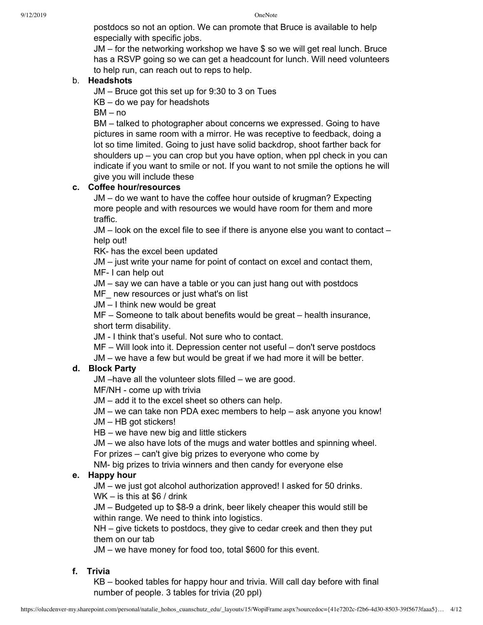postdocs so not an option. We can promote that Bruce is available to help especially with specific jobs.

JM – for the networking workshop we have \$ so we will get real lunch. Bruce has a RSVP going so we can get a headcount for lunch. Will need volunteers to help run, can reach out to reps to help.

## b. **Headshots**

JM – Bruce got this set up for 9:30 to 3 on Tues

KB – do we pay for headshots

BM – no

BM – talked to photographer about concerns we expressed. Going to have pictures in same room with a mirror. He was receptive to feedback, doing a lot so time limited. Going to just have solid backdrop, shoot farther back for shoulders up – you can crop but you have option, when ppl check in you can indicate if you want to smile or not. If you want to not smile the options he will give you will include these

## **c. Coffee hour/resources**

JM – do we want to have the coffee hour outside of krugman? Expecting more people and with resources we would have room for them and more traffic.

JM – look on the excel file to see if there is anyone else you want to contact – help out!

RK- has the excel been updated

JM – just write your name for point of contact on excel and contact them,

MF- I can help out

JM – say we can have a table or you can just hang out with postdocs

MF\_ new resources or just what's on list

JM – I think new would be great

MF – Someone to talk about benefits would be great – health insurance, short term disability.

JM - I think that's useful. Not sure who to contact.

MF – Will look into it. Depression center not useful – don't serve postdocs

JM – we have a few but would be great if we had more it will be better.

## **d. Block Party**

JM –have all the volunteer slots filled – we are good.

MF/NH - come up with trivia

JM – add it to the excel sheet so others can help.

JM – we can take non PDA exec members to help – ask anyone you know!

JM – HB got stickers!

HB – we have new big and little stickers

JM – we also have lots of the mugs and water bottles and spinning wheel.

For prizes – can't give big prizes to everyone who come by

NM- big prizes to trivia winners and then candy for everyone else

## **e. Happy hour**

JM – we just got alcohol authorization approved! I asked for 50 drinks.

WK – is this at \$6 / drink

JM – Budgeted up to \$8-9 a drink, beer likely cheaper this would still be within range. We need to think into logistics.

NH – give tickets to postdocs, they give to cedar creek and then they put them on our tab

JM – we have money for food too, total \$600 for this event.

## **f. Trivia**

KB – booked tables for happy hour and trivia. Will call day before with final number of people. 3 tables for trivia (20 ppl)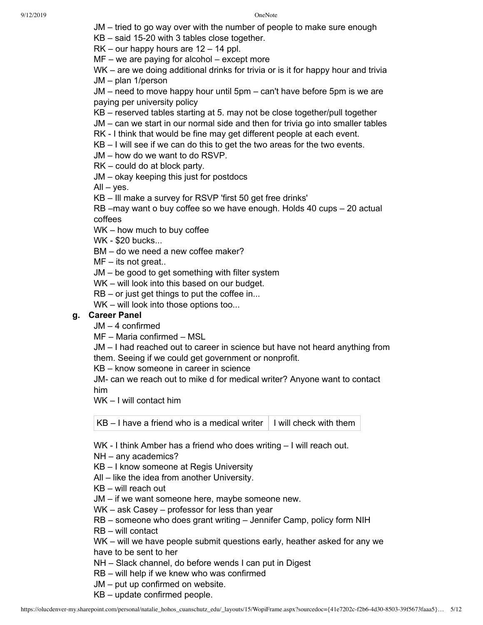JM – tried to go way over with the number of people to make sure enough

KB – said 15-20 with 3 tables close together.

RK – our happy hours are 12 – 14 ppl.

MF – we are paying for alcohol – except more

WK – are we doing additional drinks for trivia or is it for happy hour and trivia JM – plan 1/person

JM – need to move happy hour until 5pm – can't have before 5pm is we are paying per university policy

KB – reserved tables starting at 5. may not be close together/pull together

JM – can we start in our normal side and then for trivia go into smaller tables

RK - I think that would be fine may get different people at each event.

KB – I will see if we can do this to get the two areas for the two events.

JM – how do we want to do RSVP.

RK – could do at block party.

JM – okay keeping this just for postdocs

 $All - yes.$ 

KB – Ill make a survey for RSVP 'first 50 get free drinks'

RB –may want o buy coffee so we have enough. Holds 40 cups – 20 actual coffees

WK – how much to buy coffee

WK - \$20 bucks...

BM – do we need a new coffee maker?

MF – its not great..

JM – be good to get something with filter system

WK – will look into this based on our budget.

RB – or just get things to put the coffee in...

WK – will look into those options too...

## **g. Career Panel**

JM – 4 confirmed

MF – Maria confirmed – MSL

JM – I had reached out to career in science but have not heard anything from them. Seeing if we could get government or nonprofit.

KB – know someone in career in science

JM- can we reach out to mike d for medical writer? Anyone want to contact him

WK – I will contact him

KB – I have a friend who is a medical writer  $\vert$  I will check with them

WK - I think Amber has a friend who does writing – I will reach out.

NH – any academics?

KB – I know someone at Regis University

All – like the idea from another University.

KB – will reach out

JM – if we want someone here, maybe someone new.

WK – ask Casey – professor for less than year

RB – someone who does grant writing – Jennifer Camp, policy form NIH

RB – will contact

WK – will we have people submit questions early, heather asked for any we have to be sent to her

NH – Slack channel, do before wends I can put in Digest

RB – will help if we knew who was confirmed

JM – put up confirmed on website.

KB – update confirmed people.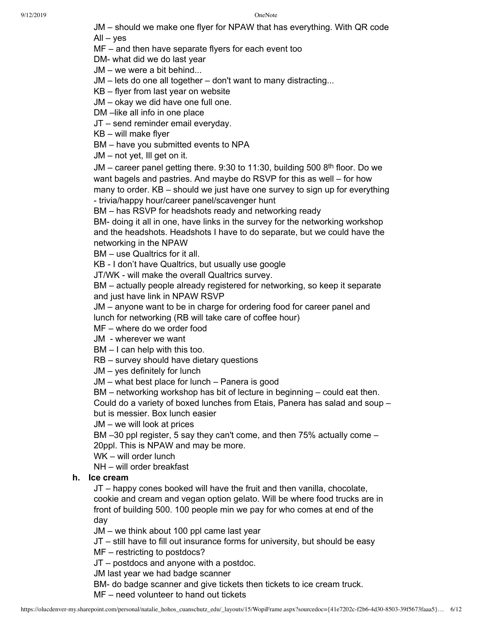JM – should we make one flyer for NPAW that has everything. With QR code

 $All - yes$ 

MF – and then have separate flyers for each event too

DM- what did we do last year

- JM we were a bit behind...
- JM lets do one all together don't want to many distracting...
- KB flyer from last year on website
- JM okay we did have one full one.
- DM –like all info in one place
- JT send reminder email everyday.
- KB will make flyer
- BM have you submitted events to NPA
- JM not yet, Ill get on it.

JM – career panel getting there. 9:30 to 11:30, building 500 8<sup>th</sup> floor. Do we want bagels and pastries. And maybe do RSVP for this as well – for how many to order. KB – should we just have one survey to sign up for everything - trivia/happy hour/career panel/scavenger hunt

BM – has RSVP for headshots ready and networking ready

BM- doing it all in one, have links in the survey for the networking workshop and the headshots. Headshots I have to do separate, but we could have the networking in the NPAW

BM – use Qualtrics for it all.

KB - I don't have Qualtrics, but usually use google

JT/WK - will make the overall Qualtrics survey.

BM – actually people already registered for networking, so keep it separate and just have link in NPAW RSVP

JM – anyone want to be in charge for ordering food for career panel and lunch for networking (RB will take care of coffee hour)

MF – where do we order food

JM - wherever we want

BM – I can help with this too.

RB – survey should have dietary questions

JM – yes definitely for lunch

JM – what best place for lunch – Panera is good

BM – networking workshop has bit of lecture in beginning – could eat then.

Could do a variety of boxed lunches from Etais, Panera has salad and soup – but is messier. Box lunch easier

JM – we will look at prices

BM –30 ppl register, 5 say they can't come, and then 75% actually come – 20ppl. This is NPAW and may be more.

WK – will order lunch

NH – will order breakfast

## **h. Ice cream**

JT – happy cones booked will have the fruit and then vanilla, chocolate, cookie and cream and vegan option gelato. Will be where food trucks are in front of building 500. 100 people min we pay for who comes at end of the day

JM – we think about 100 ppl came last year

JT – still have to fill out insurance forms for university, but should be easy

MF – restricting to postdocs?

JT – postdocs and anyone with a postdoc.

JM last year we had badge scanner

BM- do badge scanner and give tickets then tickets to ice cream truck.

MF – need volunteer to hand out tickets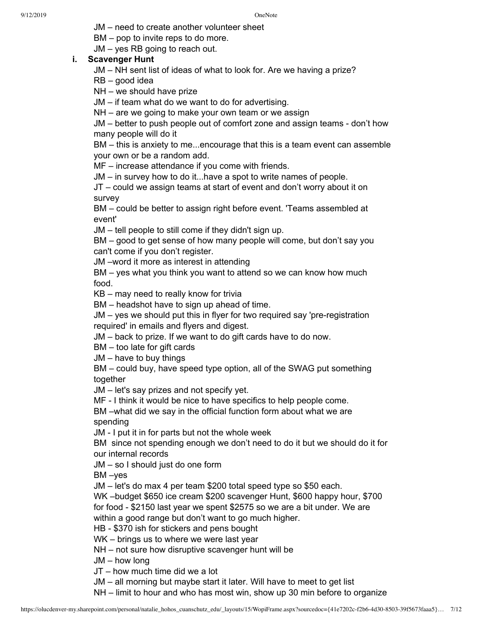JM – need to create another volunteer sheet

BM – pop to invite reps to do more.

JM – yes RB going to reach out.

## **i. Scavenger Hunt**

JM – NH sent list of ideas of what to look for. Are we having a prize?

RB – good idea

NH – we should have prize

JM – if team what do we want to do for advertising.

NH – are we going to make your own team or we assign

JM – better to push people out of comfort zone and assign teams - don't how many people will do it

BM – this is anxiety to me...encourage that this is a team event can assemble your own or be a random add.

MF – increase attendance if you come with friends.

JM – in survey how to do it...have a spot to write names of people.

JT – could we assign teams at start of event and don't worry about it on survey

BM – could be better to assign right before event. 'Teams assembled at event'

JM – tell people to still come if they didn't sign up.

BM – good to get sense of how many people will come, but don't say you can't come if you don't register.

JM –word it more as interest in attending

BM – yes what you think you want to attend so we can know how much food.

KB – may need to really know for trivia

BM – headshot have to sign up ahead of time.

JM – yes we should put this in flyer for two required say 'pre-registration required' in emails and flyers and digest.

JM – back to prize. If we want to do gift cards have to do now.

BM – too late for gift cards

JM – have to buy things

BM – could buy, have speed type option, all of the SWAG put something together

JM – let's say prizes and not specify yet.

MF - I think it would be nice to have specifics to help people come.

BM –what did we say in the official function form about what we are spending

JM - I put it in for parts but not the whole week

BM since not spending enough we don't need to do it but we should do it for our internal records

JM – so I should just do one form

BM –yes

JM – let's do max 4 per team \$200 total speed type so \$50 each.

WK –budget \$650 ice cream \$200 scavenger Hunt, \$600 happy hour, \$700 for food - \$2150 last year we spent \$2575 so we are a bit under. We are

within a good range but don't want to go much higher.

HB - \$370 ish for stickers and pens bought

WK – brings us to where we were last year

NH – not sure how disruptive scavenger hunt will be

JM – how long

JT – how much time did we a lot

JM – all morning but maybe start it later. Will have to meet to get list

NH – limit to hour and who has most win, show up 30 min before to organize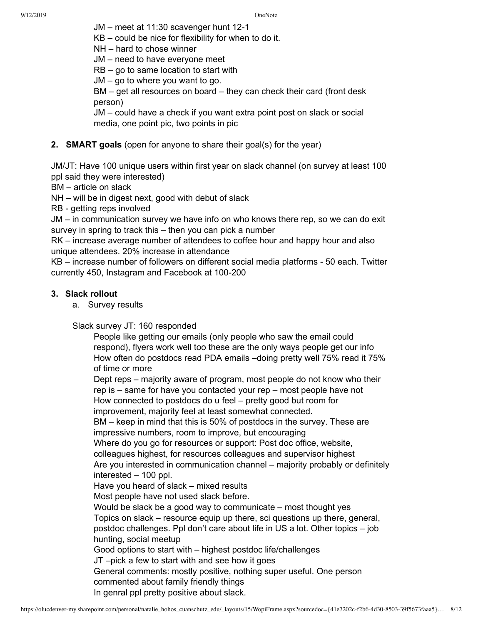JM – meet at 11:30 scavenger hunt 12-1

KB – could be nice for flexibility for when to do it.

NH – hard to chose winner

JM – need to have everyone meet

RB – go to same location to start with

JM – go to where you want to go.

BM – get all resources on board – they can check their card (front desk person)

JM – could have a check if you want extra point post on slack or social media, one point pic, two points in pic

## **2. SMART goals** (open for anyone to share their goal(s) for the year)

JM/JT: Have 100 unique users within first year on slack channel (on survey at least 100 ppl said they were interested)

BM – article on slack

NH – will be in digest next, good with debut of slack

RB - getting reps involved

JM – in communication survey we have info on who knows there rep, so we can do exit survey in spring to track this – then you can pick a number

RK – increase average number of attendees to coffee hour and happy hour and also unique attendees. 20% increase in attendance

KB – increase number of followers on different social media platforms - 50 each. Twitter currently 450, Instagram and Facebook at 100-200

## **3. Slack rollout**

a. Survey results

#### Slack survey JT: 160 responded

People like getting our emails (only people who saw the email could respond), flyers work well too these are the only ways people get our info How often do postdocs read PDA emails –doing pretty well 75% read it 75% of time or more

Dept reps – majority aware of program, most people do not know who their rep is – same for have you contacted your rep – most people have not How connected to postdocs do u feel – pretty good but room for improvement, majority feel at least somewhat connected.

BM – keep in mind that this is 50% of postdocs in the survey. These are

impressive numbers, room to improve, but encouraging

Where do you go for resources or support: Post doc office, website,

colleagues highest, for resources colleagues and supervisor highest

Are you interested in communication channel – majority probably or definitely interested – 100 ppl.

Have you heard of slack – mixed results

Most people have not used slack before.

Would be slack be a good way to communicate – most thought yes Topics on slack – resource equip up there, sci questions up there, general, postdoc challenges. Ppl don't care about life in US a lot. Other topics – job hunting, social meetup Good options to start with – highest postdoc life/challenges JT –pick a few to start with and see how it goes

General comments: mostly positive, nothing super useful. One person commented about family friendly things

In genral ppl pretty positive about slack.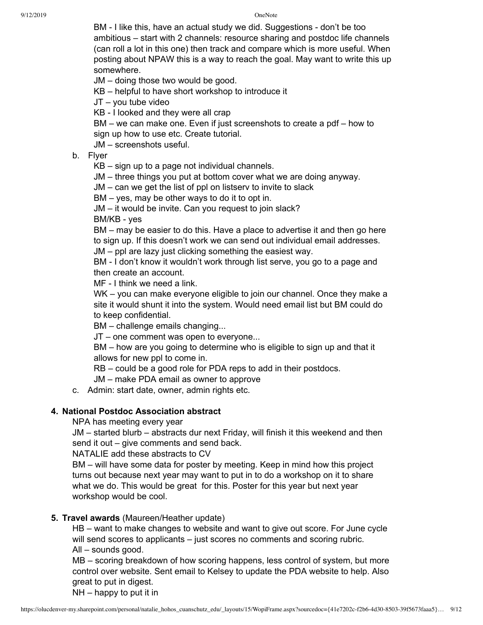BM - I like this, have an actual study we did. Suggestions - don't be too ambitious – start with 2 channels: resource sharing and postdoc life channels (can roll a lot in this one) then track and compare which is more useful. When posting about NPAW this is a way to reach the goal. May want to write this up somewhere.

JM – doing those two would be good.

KB – helpful to have short workshop to introduce it

JT – you tube video

KB - I looked and they were all crap

BM – we can make one. Even if just screenshots to create a pdf – how to sign up how to use etc. Create tutorial.

JM – screenshots useful.

b. Flyer

KB – sign up to a page not individual channels.

JM – three things you put at bottom cover what we are doing anyway.

JM – can we get the list of ppl on listserv to invite to slack

BM – yes, may be other ways to do it to opt in.

JM – it would be invite. Can you request to join slack?

BM/KB - yes

BM – may be easier to do this. Have a place to advertise it and then go here to sign up. If this doesn't work we can send out individual email addresses.

JM – ppl are lazy just clicking something the easiest way.

BM - I don't know it wouldn't work through list serve, you go to a page and then create an account.

MF - I think we need a link.

WK – you can make everyone eligible to join our channel. Once they make a site it would shunt it into the system. Would need email list but BM could do to keep confidential.

BM – challenge emails changing...

JT – one comment was open to everyone...

BM – how are you going to determine who is eligible to sign up and that it allows for new ppl to come in.

RB – could be a good role for PDA reps to add in their postdocs.

JM – make PDA email as owner to approve

c. Admin: start date, owner, admin rights etc.

## **4. National Postdoc Association abstract**

NPA has meeting every year

JM – started blurb – abstracts dur next Friday, will finish it this weekend and then send it out – give comments and send back.

NATALIE add these abstracts to CV

BM – will have some data for poster by meeting. Keep in mind how this project turns out because next year may want to put in to do a workshop on it to share what we do. This would be great for this. Poster for this year but next year workshop would be cool.

## **5. Travel awards** (Maureen/Heather update)

HB – want to make changes to website and want to give out score. For June cycle will send scores to applicants – just scores no comments and scoring rubric. All – sounds good.

MB – scoring breakdown of how scoring happens, less control of system, but more control over website. Sent email to Kelsey to update the PDA website to help. Also great to put in digest.

NH – happy to put it in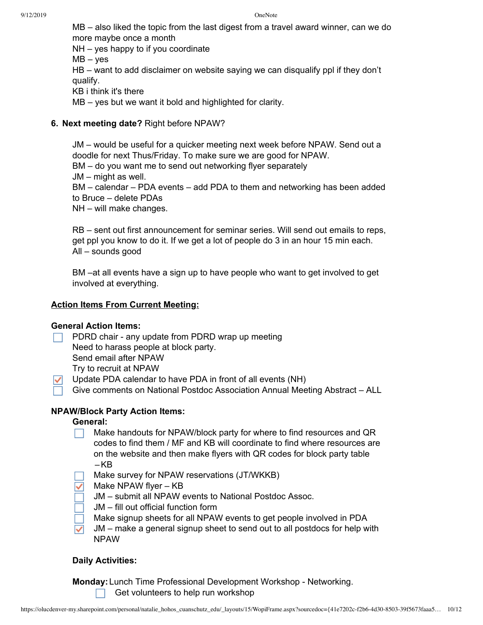MB – also liked the topic from the last digest from a travel award winner, can we do more maybe once a month

NH – yes happy to if you coordinate

 $MB - yes$ 

HB – want to add disclaimer on website saying we can disqualify ppl if they don't qualify.

KB i think it's there

MB – yes but we want it bold and highlighted for clarity.

## **6. Next meeting date?** Right before NPAW?

JM – would be useful for a quicker meeting next week before NPAW. Send out a doodle for next Thus/Friday. To make sure we are good for NPAW. BM – do you want me to send out networking flyer separately JM – might as well. BM – calendar – PDA events – add PDA to them and networking has been added to Bruce – delete PDAs NH – will make changes.

RB – sent out first announcement for seminar series. Will send out emails to reps, get ppl you know to do it. If we get a lot of people do 3 in an hour 15 min each. All – sounds good

BM –at all events have a sign up to have people who want to get involved to get involved at everything.

## **Action Items From Current Meeting:**

## **General Action Items:**

- PDRD chair any update from PDRD wrap up meeting Need to harass people at block party. Send email after NPAW Try to recruit at NPAW
- Update PDA calendar to have PDA in front of all events (NH)
- Give comments on National Postdoc Association Annual Meeting Abstract ALL

## **NPAW/Block Party Action Items:**

## **General:**

- Make handouts for NPAW/block party for where to find resources and QR codes to find them / MF and KB will coordinate to find where resources are on the website and then make flyers with QR codes for block party table  $-KB$
- Make survey for NPAW reservations (JT/WKKB)
- Make NPAW flyer KB
	- JM submit all NPAW events to National Postdoc Assoc.
- JM fill out official function form
- Make signup sheets for all NPAW events to get people involved in PDA
- JM make a general signup sheet to send out to all postdocs for help with NPAW

## **Daily Activities:**

**Monday:**Lunch Time Professional Development Workshop - Networking. Get volunteers to help run workshop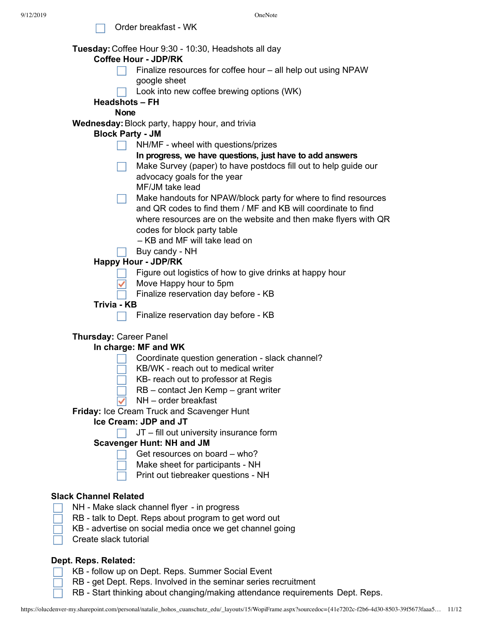Order breakfast - WK

 $\Box$ 

|                              | Tuesday: Coffee Hour 9:30 - 10:30, Headshots all day                         |
|------------------------------|------------------------------------------------------------------------------|
|                              | <b>Coffee Hour - JDP/RK</b>                                                  |
|                              | Finalize resources for coffee hour - all help out using NPAW<br>google sheet |
|                              | Look into new coffee brewing options (WK)                                    |
|                              | <b>Headshots - FH</b>                                                        |
|                              | <b>None</b>                                                                  |
|                              | Wednesday: Block party, happy hour, and trivia                               |
|                              | <b>Block Party - JM</b>                                                      |
|                              | NH/MF - wheel with questions/prizes                                          |
|                              | In progress, we have questions, just have to add answers                     |
|                              | Make Survey (paper) to have postdocs fill out to help guide our              |
|                              | advocacy goals for the year                                                  |
|                              | MF/JM take lead                                                              |
|                              | Make handouts for NPAW/block party for where to find resources               |
|                              | and QR codes to find them / MF and KB will coordinate to find                |
|                              |                                                                              |
|                              | where resources are on the website and then make flyers with QR              |
|                              | codes for block party table<br>- KB and MF will take lead on                 |
|                              |                                                                              |
|                              | Buy candy - NH                                                               |
|                              | <b>Happy Hour - JDP/RK</b>                                                   |
|                              | Figure out logistics of how to give drinks at happy hour                     |
|                              | Move Happy hour to 5pm                                                       |
| Trivia - KB                  | Finalize reservation day before - KB                                         |
|                              |                                                                              |
|                              | Finalize reservation day before - KB                                         |
|                              | <b>Thursday: Career Panel</b>                                                |
|                              | In charge: MF and WK                                                         |
|                              | Coordinate question generation - slack channel?                              |
|                              | KB/WK - reach out to medical writer                                          |
|                              | KB- reach out to professor at Regis                                          |
|                              | RB – contact Jen Kemp – grant writer                                         |
|                              | NH - order breakfast                                                         |
|                              | Friday: Ice Cream Truck and Scavenger Hunt                                   |
|                              | Ice Cream: JDP and JT                                                        |
|                              | JT – fill out university insurance form                                      |
|                              | <b>Scavenger Hunt: NH and JM</b>                                             |
|                              | Get resources on board – who?                                                |
|                              | Make sheet for participants - NH                                             |
|                              | Print out tiebreaker questions - NH                                          |
|                              |                                                                              |
| <b>Slack Channel Related</b> |                                                                              |
|                              | NH - Make slack channel flyer - in progress                                  |
|                              | RB - talk to Dept. Reps about program to get word out                        |
|                              | KB - advertise on social media once we get channel going                     |
| Create slack tutorial        |                                                                              |
|                              |                                                                              |
| Dept. Reps. Related:         |                                                                              |

RB - Start thinking about changing/making attendance requirements Dept. Reps.

KB - follow up on Dept. Reps. Summer Social Event

RB - get Dept. Reps. Involved in the seminar series recruitment